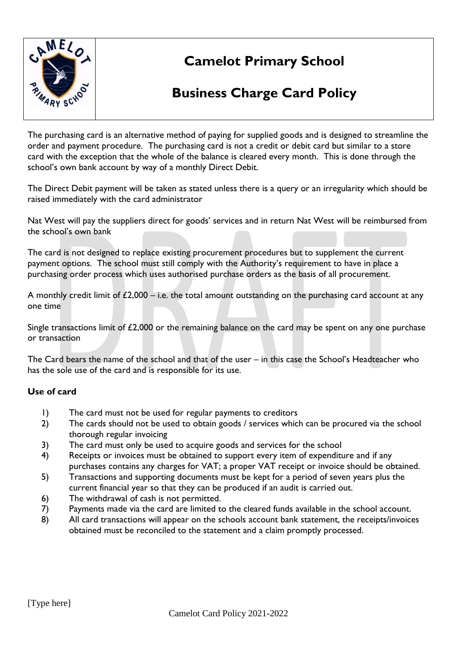

# **Camelot Primary School**

## **Business Charge Card Policy**

The purchasing card is an alternative method of paying for supplied goods and is designed to streamline the order and payment procedure. The purchasing card is not a credit or debit card but similar to a store card with the exception that the whole of the balance is cleared every month. This is done through the school's own bank account by way of a monthly Direct Debit.

The Direct Debit payment will be taken as stated unless there is a query or an irregularity which should be raised immediately with the card administrator

Nat West will pay the suppliers direct for goods' services and in return Nat West will be reimbursed from the school's own bank

The card is not designed to replace existing procurement procedures but to supplement the current payment options. The school must still comply with the Authority's requirement to have in place a purchasing order process which uses authorised purchase orders as the basis of all procurement.

A monthly credit limit of  $£2,000 - i.e.$  the total amount outstanding on the purchasing card account at any one time

Single transactions limit of £2,000 or the remaining balance on the card may be spent on any one purchase or transaction

The Card bears the name of the school and that of the user – in this case the School's Headteacher who has the sole use of the card and is responsible for its use.

### **Use of card**

- 1) The card must not be used for regular payments to creditors
- 2) The cards should not be used to obtain goods / services which can be procured via the school thorough regular invoicing
- 3) The card must only be used to acquire goods and services for the school
- 4) Receipts or invoices must be obtained to support every item of expenditure and if any purchases contains any charges for VAT; a proper VAT receipt or invoice should be obtained.
- 5) Transactions and supporting documents must be kept for a period of seven years plus the current financial year so that they can be produced if an audit is carried out.
- 6) The withdrawal of cash is not permitted.
- 7) Payments made via the card are limited to the cleared funds available in the school account.
- 8) All card transactions will appear on the schools account bank statement, the receipts/invoices obtained must be reconciled to the statement and a claim promptly processed.